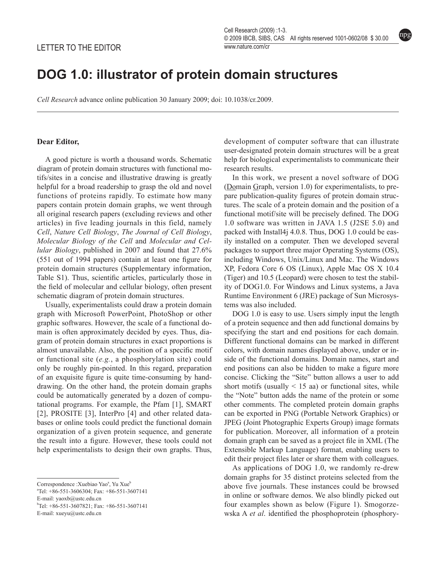## **DOG 1.0: illustrator of protein domain structures**

*Cell Research* advance online publication 30 January 2009; doi: 10.1038/cr.2009.

## **Dear Editor,**

A good picture is worth a thousand words. Schematic diagram of protein domain structures with functional motifs/sites in a concise and illustrative drawing is greatly helpful for a broad readership to grasp the old and novel functions of proteins rapidly. To estimate how many papers contain protein domain graphs, we went through all original research papers (excluding reviews and other articles) in five leading journals in this field, namely *Cell*, *Nature Cell Biology*, *The Journal of Cell Biology*, *Molecular Biology of the Cell* and *Molecular and Cellular Biology*, published in 2007 and found that 27.6% (551 out of 1994 papers) contain at least one figure for protein domain structures (Supplementary information, Table S1). Thus, scientific articles, particularly those in the field of molecular and cellular biology, often present schematic diagram of protein domain structures.

Usually, experimentalists could draw a protein domain graph with Microsoft PowerPoint, PhotoShop or other graphic softwares. However, the scale of a functional domain is often approximately decided by eyes. Thus, diagram of protein domain structures in exact proportions is almost unavailable. Also, the position of a specific motif or functional site (*e.g.*, a phosphorylation site) could only be roughly pin-pointed. In this regard, preparation of an exquisite figure is quite time-consuming by handdrawing. On the other hand, the protein domain graphs could be automatically generated by a dozen of computational programs. For example, the Pfam [1], SMART [2], PROSITE [3], InterPro [4] and other related databases or online tools could predict the functional domain organization of a given protein sequence, and generate the result into a figure. However, these tools could not help experimentalists to design their own graphs. Thus,

E-mail: yaoxb@ustc.edu.cn

b Tel: +86-551-3607821; Fax: +86-551-3607141

E-mail: xueyu@ustc.edu.cn

development of computer software that can illustrate user-designated protein domain structures will be a great help for biological experimentalists to communicate their research results.

In this work, we present a novel software of DOG (Domain Graph, version 1.0) for experimentalists, to prepare publication-quality figures of protein domain structures. The scale of a protein domain and the position of a functional motif/site will be precisely defined. The DOG 1.0 software was written in JAVA 1.5 (J2SE 5.0) and packed with Install4j 4.0.8. Thus, DOG 1.0 could be easily installed on a computer. Then we developed several packages to support three major Operating Systems (OS), including Windows, Unix/Linux and Mac. The Windows XP, Fedora Core 6 OS (Linux), Apple Mac OS X 10.4 (Tiger) and 10.5 (Leopard) were chosen to test the stability of DOG1.0. For Windows and Linux systems, a Java Runtime Environment 6 (JRE) package of Sun Microsystems was also included.

DOG 1.0 is easy to use. Users simply input the length of a protein sequence and then add functional domains by specifying the start and end positions for each domain. Different functional domains can be marked in different colors, with domain names displayed above, under or inside of the functional domains. Domain names, start and end positions can also be hidden to make a figure more concise. Clicking the "Site" button allows a user to add short motifs (usually  $\leq 15$  aa) or functional sites, while the "Note" button adds the name of the protein or some other comments. The completed protein domain graphs can be exported in PNG (Portable Network Graphics) or JPEG (Joint Photographic Experts Group) image formats for publication. Moreover, all information of a protein domain graph can be saved as a project file in XML (The Extensible Markup Language) format, enabling users to edit their project files later or share them with colleagues.

As applications of DOG 1.0, we randomly re-drew domain graphs for 35 distinct proteins selected from the above five journals. These instances could be browsed in online or software demos. We also blindly picked out four examples shown as below (Figure 1). Smogorzewska A *et al*. identified the phosphoprotein (phosphory-

Correspondence : Xuebiao Yao<sup>a</sup>, Yu Xue<sup>b</sup>

a Tel: +86-551-3606304; Fax: +86-551-3607141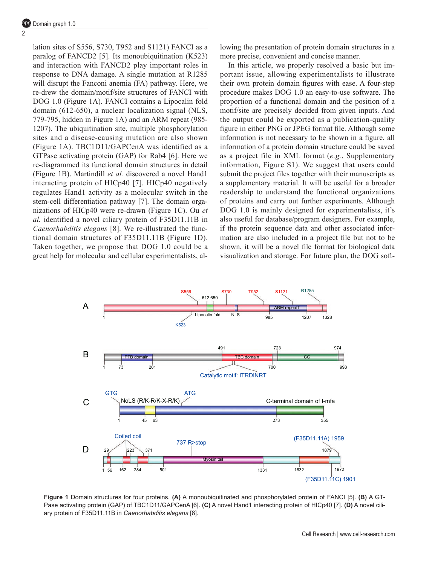$\overline{2}$ 

lation sites of S556, S730, T952 and S1121) FANCI as a paralog of FANCD2 [5]. Its monoubiquitination (K523) and interaction with FANCD2 play important roles in response to DNA damage. A single mutation at R1285 will disrupt the Fanconi anemia (FA) pathway. Here, we re-drew the domain/motif/site structures of FANCI with DOG 1.0 (Figure 1A). FANCI contains a Lipocalin fold domain (612-650), a nuclear localization signal (NLS, 779-795, hidden in Figure 1A) and an ARM repeat (985- 1207). The ubiquitination site, multiple phosphorylation sites and a disease-causing mutation are also shown (Figure 1A). TBC1D11/GAPCenA was identified as a GTPase activating protein (GAP) for Rab4 [6]. Here we re-diagrammed its functional domain structures in detail (Figure 1B). Martindill *et al.* discovered a novel Hand1 interacting protein of HICp40 [7]. HICp40 negatively regulates Hand1 activity as a molecular switch in the stem-cell differentiation pathway [7]. The domain organizations of HICp40 were re-drawn (Figure 1C). Ou *et al.* identified a novel ciliary protein of F35D11.11B in *Caenorhabditis elegans* [8]. We re-illustrated the functional domain structures of F35D11.11B (Figure 1D). Taken together, we propose that DOG 1.0 could be a great help for molecular and cellular experimentalists, allowing the presentation of protein domain structures in a more precise, convenient and concise manner.

In this article, we properly resolved a basic but important issue, allowing experimentalists to illustrate their own protein domain figures with ease. A four-step procedure makes DOG 1.0 an easy-to-use software. The proportion of a functional domain and the position of a motif/site are precisely decided from given inputs. And the output could be exported as a publication-quality figure in either PNG or JPEG format file. Although some information is not necessary to be shown in a figure, all information of a protein domain structure could be saved as a project file in XML format (*e.g.*, Supplementary information, Figure S1). We suggest that users could submit the project files together with their manuscripts as a supplementary material. It will be useful for a broader readership to understand the functional organizations of proteins and carry out further experiments. Although DOG 1.0 is mainly designed for experimentalists, it's also useful for database/program designers. For example, if the protein sequence data and other associated information are also included in a project file but not to be shown, it will be a novel file format for biological data visualization and storage. For future plan, the DOG soft-



**Figure 1** Domain structures for four proteins. **(A)** A monoubiquitinated and phosphorylated protein of FANCI [5]. **(B)** A GT-Pase activating protein (GAP) of TBC1D11/GAPCenA [6]. **(C)** A novel Hand1 interacting protein of HICp40 [7]. **(D)** A novel ciliary protein of F35D11.11B in *Caenorhabditis elegans* [8].